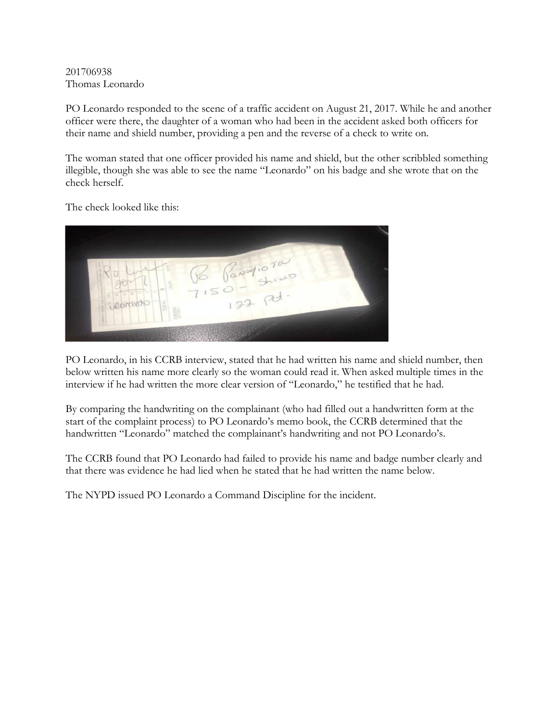201706938 Thomas Leonardo

PO Leonardo responded to the scene of a traffic accident on August 21, 2017. While he and another officer were there, the daughter of a woman who had been in the accident asked both officers for their name and shield number, providing a pen and the reverse of a check to write on.

The woman stated that one officer provided his name and shield, but the other scribbled something illegible, though she was able to see the name "Leonardo" on his badge and she wrote that on the check herself.

The check looked like this:



PO Leonardo, in his CCRB interview, stated that he had written his name and shield number, then below written his name more clearly so the woman could read it. When asked multiple times in the interview if he had written the more clear version of "Leonardo," he testified that he had.

By comparing the handwriting on the complainant (who had filled out a handwritten form at the start of the complaint process) to PO Leonardo's memo book, the CCRB determined that the handwritten "Leonardo" matched the complainant's handwriting and not PO Leonardo's.

The CCRB found that PO Leonardo had failed to provide his name and badge number clearly and that there was evidence he had lied when he stated that he had written the name below.

The NYPD issued PO Leonardo a Command Discipline for the incident.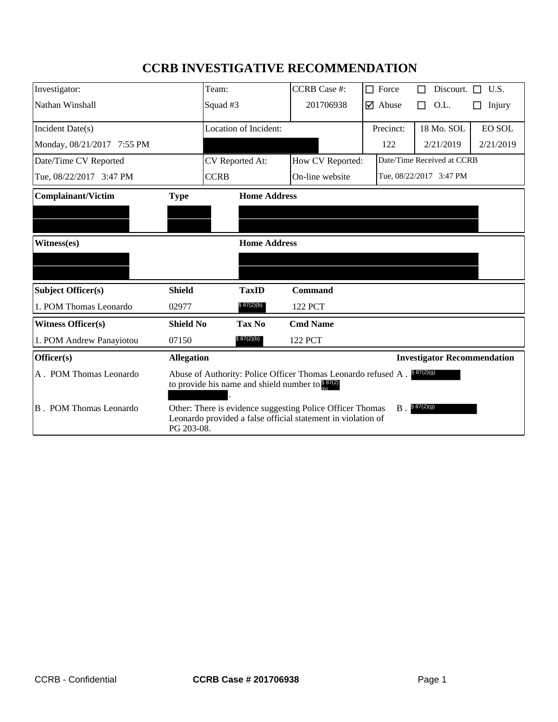# **CCRB INVESTIGATIVE RECOMMENDATION**

| Investigator:              |                                                                                                                                                                | Team:                 | <b>CCRB</b> Case #: | $\Box$ Force                  | Discourt. $\Box$ U.S.              |               |
|----------------------------|----------------------------------------------------------------------------------------------------------------------------------------------------------------|-----------------------|---------------------|-------------------------------|------------------------------------|---------------|
| Nathan Winshall            |                                                                                                                                                                | Squad #3              | 201706938           | $\overline{\mathbf{y}}$ Abuse | O.L.<br>П                          | Injury<br>ΙI  |
| Incident Date(s)           |                                                                                                                                                                | Location of Incident: |                     | Precinct:                     | 18 Mo. SOL                         | <b>EO SOL</b> |
| Monday, 08/21/2017 7:55 PM |                                                                                                                                                                |                       |                     | 122                           | 2/21/2019                          | 2/21/2019     |
| Date/Time CV Reported      |                                                                                                                                                                | CV Reported At:       | How CV Reported:    | Date/Time Received at CCRB    |                                    |               |
| Tue, 08/22/2017 3:47 PM    |                                                                                                                                                                | <b>CCRB</b>           | On-line website     | Tue, 08/22/2017 3:47 PM       |                                    |               |
| <b>Complainant/Victim</b>  | <b>Home Address</b><br><b>Type</b>                                                                                                                             |                       |                     |                               |                                    |               |
|                            |                                                                                                                                                                |                       |                     |                               |                                    |               |
|                            |                                                                                                                                                                |                       |                     |                               |                                    |               |
| Witness(es)                | <b>Home Address</b>                                                                                                                                            |                       |                     |                               |                                    |               |
|                            |                                                                                                                                                                |                       |                     |                               |                                    |               |
| <b>Subject Officer(s)</b>  | <b>Shield</b>                                                                                                                                                  | <b>TaxID</b>          | <b>Command</b>      |                               |                                    |               |
| 1. POM Thomas Leonardo     | 02977                                                                                                                                                          | § 87(2)(b)            | 122 PCT             |                               |                                    |               |
| <b>Witness Officer(s)</b>  | <b>Shield No</b>                                                                                                                                               | Tax No                | <b>Cmd Name</b>     |                               |                                    |               |
| 1. POM Andrew Panayiotou   | 07150                                                                                                                                                          | \$87(2)(b)            | 122 PCT             |                               |                                    |               |
| Officer(s)                 | <b>Allegation</b>                                                                                                                                              |                       |                     |                               | <b>Investigator Recommendation</b> |               |
| A. POM Thomas Leonardo     | Abuse of Authority: Police Officer Thomas Leonardo refused A. \$87(2)(9)<br>to provide his name and shield number to $\frac{8}{4}$ 87(2)                       |                       |                     |                               |                                    |               |
| B. POM Thomas Leonardo     | § 87(2)(g)<br>Other: There is evidence suggesting Police Officer Thomas<br>$B$ .<br>Leonardo provided a false official statement in violation of<br>PG 203-08. |                       |                     |                               |                                    |               |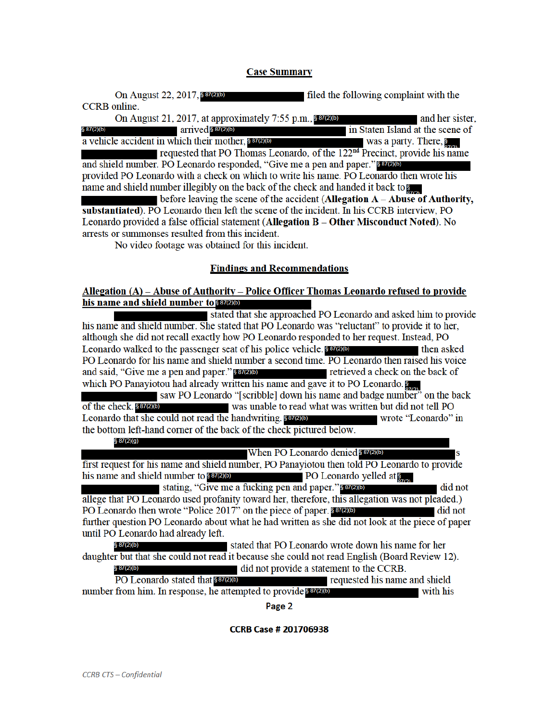## **Case Summary**

On August 22, 2017, \$87(2)(b) filed the following complaint with the **CCRB** online.

On August 21, 2017, at approximately 7:55 p.m., 887(2)(b) and her sister.  $arrived$  §  $87(2)(b)$ in Staten Island at the scene of § 87(2)(b) a vehicle accident in which their mother, 807000 was a party. There,  $\frac{1}{2}$ requested that PO Thomas Leonardo, of the 122<sup>nd</sup> Precinct, provide his name and shield number. PO Leonardo responded, "Give me a pen and paper." 887(2)(b) provided PO Leonardo with a check on which to write his name. PO Leonardo then wrote his

name and shield number illegibly on the back of the check and handed it back to provide the before leaving the scene of the accident (Allegation  $A - Abuse$  of Authority, substantiated). PO Leonardo then left the scene of the incident. In his CCRB interview, PO Leonardo provided a false official statement (Allegation B - Other Misconduct Noted). No arrests or summonses resulted from this incident.

No video footage was obtained for this incident.

# **Findings and Recommendations**

## Allegation (A) – Abuse of Authority – Police Officer Thomas Leonardo refused to provide his name and shield number to \$87(2)(b)

stated that she approached PO Leonardo and asked him to provide his name and shield number. She stated that PO Leonardo was "reluctant" to provide it to her, although she did not recall exactly how PO Leonardo responded to her request. Instead, PO Leonardo walked to the passenger seat of his police vehicle. then asked PO Leonardo for his name and shield number a second time. PO Leonardo then raised his voice retrieved a check on the back of and said, "Give me a pen and paper." 887(2)(b) which PO Panayiotou had already written his name and gave it to PO Leonardo. saw PO Leonardo "[scribble] down his name and badge number" on the back

was unable to read what was written but did not tell PO of the check. \$87(2)(b) Leonardo that she could not read the handwriting. Sangle wrote "Leonardo" in the bottom left-hand corner of the back of the check pictured below. § 87(2)(g)

When PO Leonardo denied 887(2)(b)

first request for his name and shield number, PO Panayiotou then told PO Leonardo to provide his name and shield number to \$87(2)(b) **PO** Leonardo yelled at  $\sum_{n=1}^{\infty}$ 

stating, "Give me a fucking pen and paper." \$87(2)(b) did not allege that PO Leonardo used profanity toward her, therefore, this allegation was not pleaded.) PO Leonardo then wrote "Police 2017" on the piece of paper. 837276  $\blacksquare$  did not further question PO Leonardo about what he had written as she did not look at the piece of paper until PO Leonardo had already left.

stated that PO Leonardo wrote down his name for her  $$87(2)(b)$ daughter but that she could not read it because she could not read English (Board Review 12). § 87(2)(b) did not provide a statement to the CCRB.

PO Leonardo stated that \$87(2)(b) requested his name and shield number from him. In response, he attempted to provide survey with his

Page 2

#### **CCRB Case # 201706938**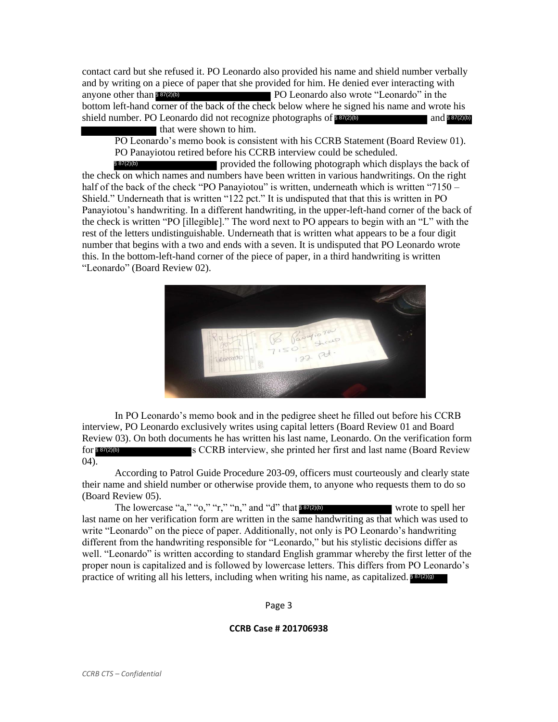contact card but she refused it. PO Leonardo also provided his name and shield number verbally and by writing on a piece of paper that she provided for him. He denied ever interacting with PO Leonardo also wrote "Leonardo" in the bottom left-hand corner of the back of the check below where he signed his name and wrote his shield number. PO Leonardo did not recognize photographs of and § 87(2)(b) that were shown to him. anyone other than \$87(2)(b) § 87(2)(b)

PO Leonardo's memo book is consistent with his CCRB Statement (Board Review 01). PO Panayiotou retired before his CCRB interview could be scheduled.

provided the following photograph which displays the back of the check on which names and numbers have been written in various handwritings. On the right half of the back of the check "PO Panayiotou" is written, underneath which is written "7150 – Shield." Underneath that is written "122 pct." It is undisputed that that this is written in PO Panayiotou's handwriting. In a different handwriting, in the upper-left-hand corner of the back of the check is written "PO [illegible]." The word next to PO appears to begin with an "L" with the rest of the letters undistinguishable. Underneath that is written what appears to be a four digit number that begins with a two and ends with a seven. It is undisputed that PO Leonardo wrote this. In the bottom-left-hand corner of the piece of paper, in a third handwriting is written "Leonardo" (Board Review 02). § 87(2)(b)



In PO Leonardo's memo book and in the pedigree sheet he filled out before his CCRB interview, PO Leonardo exclusively writes using capital letters (Board Review 01 and Board Review 03). On both documents he has written his last name, Leonardo. On the verification form for s CCRB interview, she printed her first and last name (Board Review  $(04)$ . § 87(2)(b)

According to Patrol Guide Procedure 203-09, officers must courteously and clearly state their name and shield number or otherwise provide them, to anyone who requests them to do so (Board Review 05).

The lowercase "a," "o," "r," "n," and "d" that  $8\frac{87(2)}{6}$  wrote to spell her last name on her verification form are written in the same handwriting as that which was used to write "Leonardo" on the piece of paper. Additionally, not only is PO Leonardo's handwriting different from the handwriting responsible for "Leonardo," but his stylistic decisions differ as well. "Leonardo" is written according to standard English grammar whereby the first letter of the proper noun is capitalized and is followed by lowercase letters. This differs from PO Leonardo's practice of writing all his letters, including when writing his name, as capitalized. 837(2)(9)

Page 3

#### **CCRB Case # 201706938**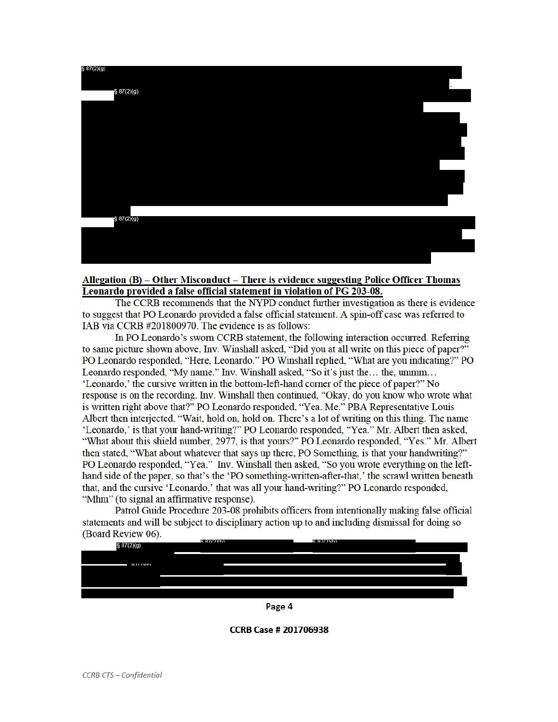

# Allegation (B) – Other Misconduct – There is evidence suggesting Police Officer Thomas Leonardo provided a false official statement in violation of PG 203-08.

The CCRB recommends that the NYPD conduct further investigation as there is evidence to suggest that PO Leonardo provided a false official statement. A spin-off case was referred to IAB via CCRB #201800970. The evidence is as follows:

In PO Leonardo's sworn CCRB statement, the following interaction occurred. Referring to same picture shown above. Inv. Winshall asked, "Did you at all write on this piece of paper?" PO Leonardo responded, "Here, Leonardo." PO Winshall replied, "What are you indicating?" PO Leonardo responded, "My name." Inv. Winshall asked, "So it's just the... the, ummm... 'Leonardo,' the cursive written in the bottom-left-hand corner of the piece of paper?" No response is on the recording. Inv. Winshall then continued, "Okay, do you know who wrote what is written right above that?" PO Leonardo responded, "Yea. Me." PBA Representative Louis Albert then interjected, "Wait, hold on, hold on. There's a lot of writing on this thing. The name 'Leonardo,' is that your hand-writing?" PO Leonardo responded, "Yea." Mr. Albert then asked, "What about this shield number, 2977, is that yours?" PO Leonardo responded, "Yes." Mr. Albert then stated, "What about whatever that says up there, PO Something, is that your handwriting?" PO Leonardo responded, "Yea." Inv. Winshall then asked, "So you wrote everything on the lefthand side of the paper, so that's the 'PO something-written-after-that,' the scrawl written beneath that, and the cursive 'Leonardo,' that was all your hand-writing?" PO Leonardo responded, "Mhm" (to signal an affirmative response).

Patrol Guide Procedure 203-08 prohibits officers from intentionally making false official statements and will be subject to disciplinary action up to and including dismissal for doing so (Board Review 06).  $R = 07/2$ V<sub>b</sub>



Page 4

**CCRB Case # 201706938**